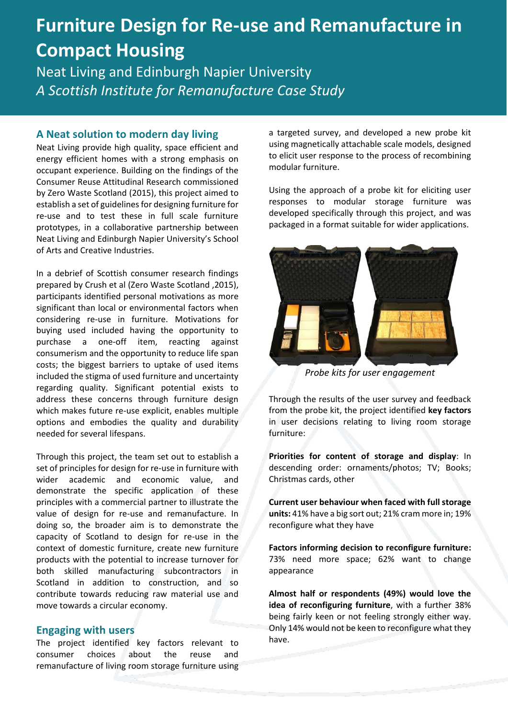# **Furniture Design for Re-use and Remanufacture in Compact Housing**

Neat Living and Edinburgh Napier University *A Scottish Institute for Remanufacture Case Study* 

#### **A Neat solution to modern day living**

Neat Living provide high quality, space efficient and energy efficient homes with a strong emphasis on occupant experience. Building on the findings of the Consumer Reuse Attitudinal Research commissioned by Zero Waste Scotland (2015), this project aimed to establish a set of guidelines for designing furniture for re-use and to test these in full scale furniture prototypes, in a collaborative partnership between Neat Living and Edinburgh Napier University's School of Arts and Creative Industries.

In a debrief of Scottish consumer research findings prepared by Crush et al (Zero Waste Scotland ,2015), participants identified personal motivations as more significant than local or environmental factors when considering re-use in furniture. Motivations for buying used included having the opportunity to purchase a one-off item, reacting against consumerism and the opportunity to reduce life span costs; the biggest barriers to uptake of used items included the stigma of used furniture and uncertainty regarding quality. Significant potential exists to address these concerns through furniture design which makes future re-use explicit, enables multiple options and embodies the quality and durability needed for several lifespans.

Through this project, the team set out to establish a set of principles for design for re-use in furniture with wider academic and economic value, and demonstrate the specific application of these principles with a commercial partner to illustrate the value of design for re-use and remanufacture. In doing so, the broader aim is to demonstrate the capacity of Scotland to design for re-use in the context of domestic furniture, create new furniture products with the potential to increase turnover for both skilled manufacturing subcontractors in Scotland in addition to construction, and so contribute towards reducing raw material use and move towards a circular economy.

### **Engaging with users**

The project identified key factors relevant to consumer choices about the reuse and remanufacture of living room storage furniture using a targeted survey, and developed a new probe kit using magnetically attachable scale models, designed to elicit user response to the process of recombining modular furniture.

Using the approach of a probe kit for eliciting user responses to modular storage furniture was developed specifically through this project, and was packaged in a format suitable for wider applications.



*Probe kits for user engagement*

Through the results of the user survey and feedback from the probe kit, the project identified **key factors**  in user decisions relating to living room storage furniture:

**Priorities for content of storage and display**: In descending order: ornaments/photos; TV; Books; Christmas cards, other

**Current user behaviour when faced with full storage units:** 41% have a big sort out; 21% cram more in; 19% reconfigure what they have

**Factors informing decision to reconfigure furniture:** 73% need more space; 62% want to change appearance

**Almost half or respondents (49%) would love the idea of reconfiguring furniture**, with a further 38% being fairly keen or not feeling strongly either way. Only 14% would not be keen to reconfigure what they have.